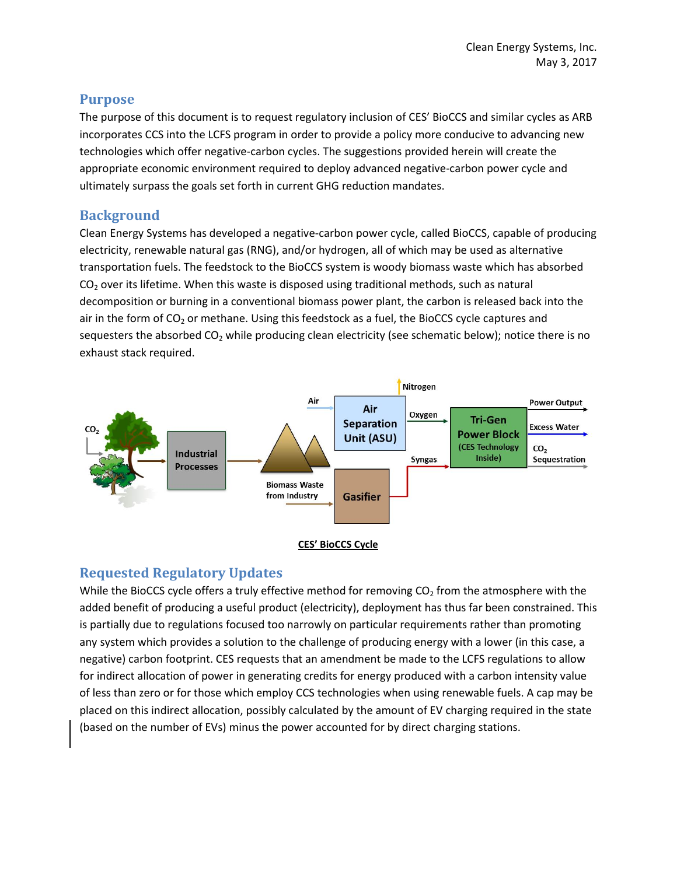## **Purpose**

The purpose of this document is to request regulatory inclusion of CES' BioCCS and similar cycles as ARB incorporates CCS into the LCFS program in order to provide a policy more conducive to advancing new technologies which offer negative-carbon cycles. The suggestions provided herein will create the appropriate economic environment required to deploy advanced negative-carbon power cycle and ultimately surpass the goals set forth in current GHG reduction mandates.

# **Background**

Clean Energy Systems has developed a negative-carbon power cycle, called BioCCS, capable of producing electricity, renewable natural gas (RNG), and/or hydrogen, all of which may be used as alternative transportation fuels. The feedstock to the BioCCS system is woody biomass waste which has absorbed  $CO<sub>2</sub>$  over its lifetime. When this waste is disposed using traditional methods, such as natural decomposition or burning in a conventional biomass power plant, the carbon is released back into the air in the form of  $CO<sub>2</sub>$  or methane. Using this feedstock as a fuel, the BioCCS cycle captures and sequesters the absorbed  $CO<sub>2</sub>$  while producing clean electricity (see schematic below); notice there is no exhaust stack required.





## **Requested Regulatory Updates**

While the BioCCS cycle offers a truly effective method for removing  $CO<sub>2</sub>$  from the atmosphere with the added benefit of producing a useful product (electricity), deployment has thus far been constrained. This is partially due to regulations focused too narrowly on particular requirements rather than promoting any system which provides a solution to the challenge of producing energy with a lower (in this case, a negative) carbon footprint. CES requests that an amendment be made to the LCFS regulations to allow for indirect allocation of power in generating credits for energy produced with a carbon intensity value of less than zero or for those which employ CCS technologies when using renewable fuels. A cap may be placed on this indirect allocation, possibly calculated by the amount of EV charging required in the state (based on the number of EVs) minus the power accounted for by direct charging stations.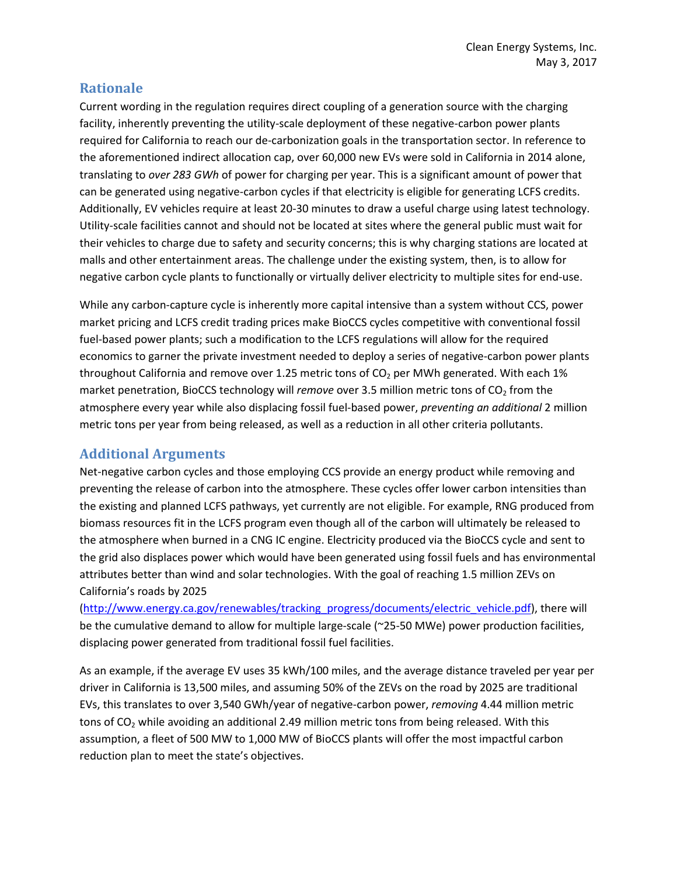## **Rationale**

Current wording in the regulation requires direct coupling of a generation source with the charging facility, inherently preventing the utility-scale deployment of these negative-carbon power plants required for California to reach our de-carbonization goals in the transportation sector. In reference to the aforementioned indirect allocation cap, over 60,000 new EVs were sold in California in 2014 alone, translating to *over 283 GWh* of power for charging per year. This is a significant amount of power that can be generated using negative-carbon cycles if that electricity is eligible for generating LCFS credits. Additionally, EV vehicles require at least 20-30 minutes to draw a useful charge using latest technology. Utility-scale facilities cannot and should not be located at sites where the general public must wait for their vehicles to charge due to safety and security concerns; this is why charging stations are located at malls and other entertainment areas. The challenge under the existing system, then, is to allow for negative carbon cycle plants to functionally or virtually deliver electricity to multiple sites for end-use.

While any carbon-capture cycle is inherently more capital intensive than a system without CCS, power market pricing and LCFS credit trading prices make BioCCS cycles competitive with conventional fossil fuel-based power plants; such a modification to the LCFS regulations will allow for the required economics to garner the private investment needed to deploy a series of negative-carbon power plants throughout California and remove over 1.25 metric tons of  $CO<sub>2</sub>$  per MWh generated. With each 1% market penetration, BioCCS technology will *remove* over 3.5 million metric tons of CO<sub>2</sub> from the atmosphere every year while also displacing fossil fuel-based power, *preventing an additional* 2 million metric tons per year from being released, as well as a reduction in all other criteria pollutants.

#### **Additional Arguments**

Net-negative carbon cycles and those employing CCS provide an energy product while removing and preventing the release of carbon into the atmosphere. These cycles offer lower carbon intensities than the existing and planned LCFS pathways, yet currently are not eligible. For example, RNG produced from biomass resources fit in the LCFS program even though all of the carbon will ultimately be released to the atmosphere when burned in a CNG IC engine. Electricity produced via the BioCCS cycle and sent to the grid also displaces power which would have been generated using fossil fuels and has environmental attributes better than wind and solar technologies. With the goal of reaching 1.5 million ZEVs on California's roads by 2025

[\(http://www.energy.ca.gov/renewables/tracking\\_progress/documents/electric\\_vehicle.pdf\)](http://www.energy.ca.gov/renewables/tracking_progress/documents/electric_vehicle.pdf), there will be the cumulative demand to allow for multiple large-scale (~25-50 MWe) power production facilities, displacing power generated from traditional fossil fuel facilities.

As an example, if the average EV uses 35 kWh/100 miles, and the average distance traveled per year per driver in California is 13,500 miles, and assuming 50% of the ZEVs on the road by 2025 are traditional EVs, this translates to over 3,540 GWh/year of negative-carbon power, *removing* 4.44 million metric tons of CO<sub>2</sub> while avoiding an additional 2.49 million metric tons from being released. With this assumption, a fleet of 500 MW to 1,000 MW of BioCCS plants will offer the most impactful carbon reduction plan to meet the state's objectives.